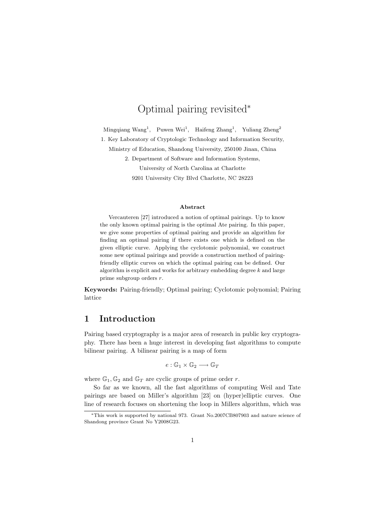# Optimal pairing revisited<sup>∗</sup>

Mingqiang Wang<sup>1</sup>, Puwen Wei<sup>1</sup>, Haifeng Zhang<sup>1</sup>, Yuliang Zheng<sup>2</sup>

1. Key Laboratory of Cryptologic Technology and Information Security,

Ministry of Education, Shandong University, 250100 Jinan, China

2. Department of Software and Information Systems,

University of North Carolina at Charlotte 9201 University City Blvd Charlotte, NC 28223

#### Abstract

Vercauteren [27] introduced a notion of optimal pairings. Up to know the only known optimal pairing is the optimal Ate pairing. In this paper, we give some properties of optimal pairing and provide an algorithm for finding an optimal pairing if there exists one which is defined on the given elliptic curve. Applying the cyclotomic polynomial, we construct some new optimal pairings and provide a construction method of pairingfriendly elliptic curves on which the optimal pairing can be defined. Our algorithm is explicit and works for arbitrary embedding degree  $k$  and large prime subgroup orders r.

Keywords: Pairing-friendly; Optimal pairing; Cyclotomic polynomial; Pairing lattice

## 1 Introduction

Pairing based cryptography is a major area of research in public key cryptography. There has been a huge interest in developing fast algorithms to compute bilinear pairing. A bilinear pairing is a map of form

$$
e:\mathbb{G}_1\times\mathbb{G}_2\longrightarrow\mathbb{G}_T
$$

where  $\mathbb{G}_1, \mathbb{G}_2$  and  $\mathbb{G}_T$  are cyclic groups of prime order r.

So far as we known, all the fast algorithms of computing Weil and Tate pairings are based on Miller's algorithm [23] on (hyper)elliptic curves. One line of research focuses on shortening the loop in Millers algorithm, which was

<sup>∗</sup>This work is supported by national 973. Grant No.2007CB807903 and nature science of Shandong province Grant No Y2008G23.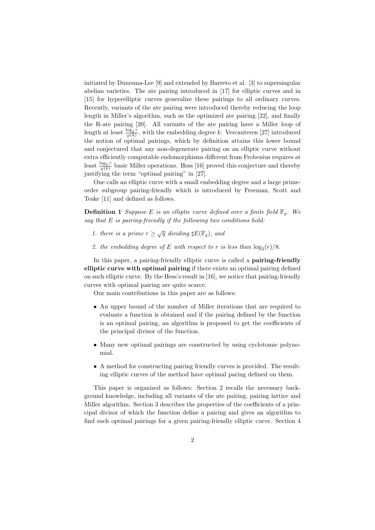initiated by Duursma-Lee [9] and extended by Barreto et al. [3] to supersingular abelian varieties. The ate pairing introduced in [17] for elliptic curves and in [15] for hyperelliptic curves generalize these pairings to all ordinary curves. Recently, variants of the ate pairing were introduced thereby reducing the loop length in Miller's algorithm, such as the optimized ate pairing [22], and finally the R-ate pairing [20]. All variants of the ate pairing have a Miller loop of length at least  $\frac{\log_2 r}{\sqrt{\rho(k)}}$  $\frac{\log_2 r}{\varphi(k)}$ , with the embedding degree k. Vercauteren [27] introduced the notion of optimal pairings, which by definition attains this lower bound and conjectured that any non-degenerate pairing on an elliptic curve without extra efficiently computable endomorphisms different from Frobenius requires at least  $\frac{\log_2 r}{\log_2 k}$  $\frac{\log_2 r}{\varphi(k)}$  basic Miller operations. Hess [16] proved this conjecture and thereby justifying the term "optimal pairing" in [27].

One calls an elliptic curve with a small embedding degree and a large primeorder subgroup pairing-friendly which is introduced by Freeman, Scott and Teske [11] and defined as follows.

**Definition 1** Suppose E is an elliptic curve defined over a finite field  $\mathbb{F}_q$ . We say that  $E$  is pairing-friendly if the following two conditions hold:

- 1. there is a prime  $r \geq \sqrt{q}$  dividing  $\sharp E(\mathbb{F}_q)$ , and
- 2. the embedding degree of E with respect to r is less than  $\log_2(r)/8$ .

In this paper, a pairing-friendly elliptic curve is called a **pairing-friendly** elliptic curve with optimal pairing if there exists an optimal pairing defined on such elliptic curve. By the Hess's result in [16], we notice that pairing-friendly curves with optimal pairing are quite scarce.

Our main contributions in this paper are as follows:

- An upper bound of the number of Miller iterations that are required to evaluate a function is obtained and if the pairing defined by the function is an optimal pairing, an algorithm is proposed to get the coefficients of the principal divisor of the function.
- Many new optimal pairings are constructed by using cyclotomic polynomial.
- A method for constructing pairing friendly curves is provided. The resulting elliptic curves of the method have optimal paring defined on them.

This paper is organized as follows: Section 2 recalls the necessary background knowledge, including all variants of the ate pairing, pairing lattice and Miller algorithm. Section 3 describes the properties of the coefficients of a principal divisor of which the function define a pairing and gives an algorithm to find such optimal pairings for a given pairing-friendly elliptic curve. Section 4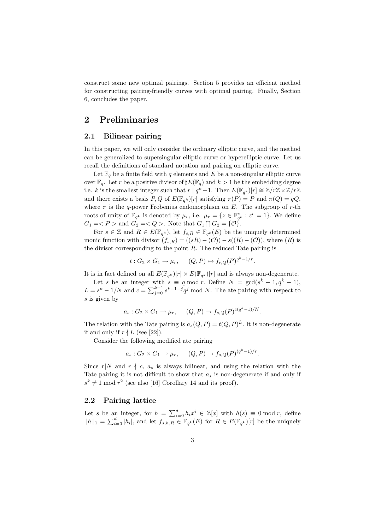construct some new optimal pairings. Section 5 provides an efficient method for constructing pairing-friendly curves with optimal pairing. Finally, Section 6, concludes the paper.

### 2 Preliminaries

### 2.1 Bilinear pairing

In this paper, we will only consider the ordinary elliptic curve, and the method can be generalized to supersingular elliptic curve or hyperelliptic curve. Let us recall the definitions of standard notation and pairing on elliptic curve.

Let  $\mathbb{F}_q$  be a finite field with q elements and E be a non-singular elliptic curve over  $\mathbb{F}_q$ . Let r be a positive divisor of  $\sharp E(\mathbb{F}_q)$  and  $k > 1$  be the embedding degree i.e. k is the smallest integer such that  $r | q^{\hat{k}} - 1$ . Then  $E(\mathbb{F}_{q^k})[r] \cong \mathbb{Z}/r\mathbb{Z} \times \mathbb{Z}/r\mathbb{Z}$ and there exists a basis  $P, Q$  of  $E(\mathbb{F}_{q^k})[r]$  satisfying  $\pi(P) = P$  and  $\pi(Q) = qQ$ , where  $\pi$  is the q-power Frobenius endomorphism on E. The subgroup of r-th roots of unity of  $\mathbb{F}_{q^k}$  is denoted by  $\mu_r$ , i.e.  $\mu_r = \{z \in \mathbb{F}_{q^k}^* : z^r = 1\}$ . We define  $G_1 =$  and  $G_2 =$ . Note that  $G_1 \bigcap G_2 = \{ \mathcal{O} \}.$ 

For  $s \in \mathbb{Z}$  and  $R \in E(\mathbb{F}_{q^k})$ , let  $f_{s,R} \in \mathbb{F}_{q^k}(E)$  be the uniquely determined monic function with divisor  $(f_{s,R}) = ((sR) - (\mathcal{O})) - s((R) - (\mathcal{O}))$ , where  $(R)$  is the divisor corresponding to the point  $R$ . The reduced Tate pairing is

$$
t: G_2 \times G_1 \to \mu_r, \quad (Q, P) \mapsto f_{r,Q}(P)^{q^k - 1/r}.
$$

It is in fact defined on all  $E(\mathbb{F}_{q^k})[r] \times E(\mathbb{F}_{q^k})[r]$  and is always non-degenerate.

Let s be an integer with  $s \equiv q \mod r$ . Define  $N = \gcd(s^k - 1, q^k - 1)$ ,  $L = s^k - 1/N$  and  $c = \sum_{j=0}^{k-1} s^{k-1-j} q^j \mod N$ . The ate pairing with respect to s is given by

$$
a_s: G_2 \times G_1 \to \mu_r, \qquad (Q, P) \mapsto f_{s,Q}(P)^{c(q^k-1)/N}.
$$

The relation with the Tate pairing is  $a_s(Q, P) = t(Q, P)^L$ . It is non-degenerate if and only if  $r \nmid L$  (see [22]).

Consider the following modified ate pairing

$$
a_s: G_2 \times G_1 \to \mu_r, \qquad (Q, P) \mapsto f_{s,Q}(P)^{(q^k-1)/r}.
$$

Since  $r|N$  and  $r \nmid c, a_s$  is always bilinear, and using the relation with the Tate pairing it is not difficult to show that  $a_s$  is non-degenerate if and only if  $s^k \neq 1 \mod r^2$  (see also [16] Corollary 14 and its proof).

### 2.2 Pairing lattice

Let s be an integer, for  $h = \sum_{i=0}^{d} h_i x^i \in \mathbb{Z}[x]$  with  $h(s) \equiv 0 \mod r$ , define  $||h||_1 = \sum_{i=0}^d |h_i|$ , and let  $f_{s,h,R} \in \mathbb{F}_{q^k}(E)$  for  $R \in E(\mathbb{F}_{q^k})[r]$  be the uniquely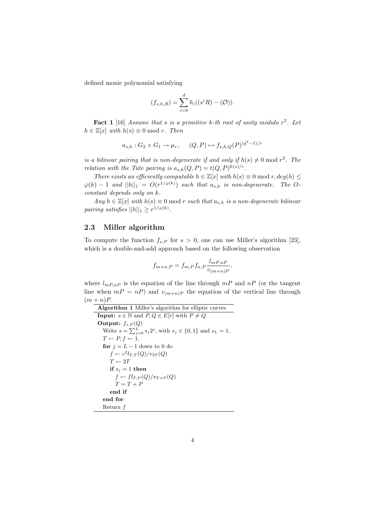defined monic polynomial satisfying

$$
(f_{s,h,R}) = \sum_{i=0}^{d} h_i((s^i R) - (O)).
$$

**Fact 1** [16] Assume that s is a primitive k-th root of unity modulo  $r^2$ . Let  $h \in \mathbb{Z}[x]$  with  $h(s) \equiv 0 \mod r$ . Then

$$
a_{s,h}: G_2 \times G_1 \to \mu_r, \qquad (Q,P) \mapsto f_{s,h,Q}(P)^{(q^k-1)/r}
$$

is a bilinear pairing that is non-degenerate if and only if  $h(s) \neq 0 \mod r^2$ . The relation with the Tate pairing is  $a_{s,h}(Q, P) = t(Q, P)^{h(s)/r}$ .

There exists an efficiently computable  $h \in \mathbb{Z}[x]$  with  $h(s) \equiv 0 \mod r$ ,  $deg(h) \leq$  $\varphi(k) - 1$  and  $||h||_1 = O(r^{1/\varphi(k)})$  such that  $a_{s,h}$  is non-degenerate. The Oconstant depends only on k.

Any  $h \in \mathbb{Z}[x]$  with  $h(s) \equiv 0 \mod r$  such that  $a_{s,h}$  is a non-degenerate bilinear pairing satisfies  $||h||_1 \geq r^{1/\varphi(k)}$ .

#### 2.3 Miller algorithm

To compute the function  $f_{s,P}$  for  $s > 0$ , one can use Miller's algorithm [23], which is a double-and-add approach based on the following observation

$$
f_{m+n,P} = f_{m,P} f_{n,P} \frac{l_{mP,nP}}{v_{(m+n)P}},
$$

where  $l_{mP,nP}$  is the equation of the line through  $mP$  and  $nP$  (or the tangent line when  $mP = nP$ ) and  $v_{(m+n)P}$  the equation of the vertical line through  $(m+n)P$ .

```
Algorithm 1 Miller's algorithm for elliptic curves
Input: s \in \mathbb{N} and P, Q \in E[r] with P \neq QOutput: f_{s,P}(Q)Write s = \sum_{j=0}^{L} s_j 2^j, with s_j \in \{0, 1\} and s_L = 1.
   T \leftarrow P, f \leftarrow 1.for j = L - 1 down to 0 do
      f \leftarrow c^2 l_{T,T}(Q)/v_{2T}(Q)T \leftarrow 2Tif s_i = 1 then
        f \leftarrow fl_{T,P}(Q)/v_{T+P}(Q)T = T + Pend if
  end for
  Return f
```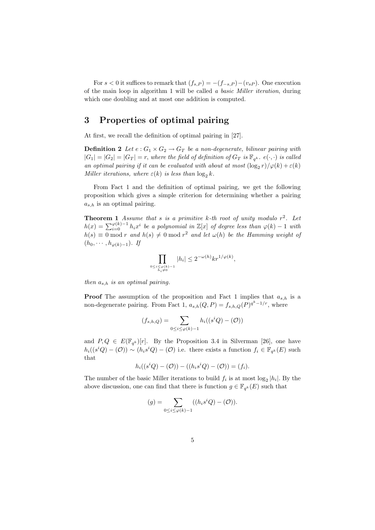For  $s < 0$  it suffices to remark that  $(f_{s,P}) = -(f_{-s,P})-(v_{sP})$ . One execution of the main loop in algorithm 1 will be called a basic Miller iteration, during which one doubling and at most one addition is computed.

## 3 Properties of optimal pairing

At first, we recall the definition of optimal pairing in [27].

**Definition 2** Let  $e: G_1 \times G_2 \rightarrow G_T$  be a non-degenerate, bilinear pairing with  $|G_1| = |G_2| = |G_T| = r$ , where the field of definition of  $G_T$  is  $\mathbb{F}_{q^k}$ .  $e(\cdot, \cdot)$  is called an optimal pairing if it can be evaluated with about at most  $(\log_2 r)/\varphi(k) + \varepsilon(k)$ Miller iterations, where  $\varepsilon(k)$  is less than  $\log_2 k$ .

From Fact 1 and the definition of optimal pairing, we get the following proposition which gives a simple criterion for determining whether a pairing  $a_{s,h}$  is an optimal pairing.

**Theorem 1** Assume that s is a primitive k-th root of unity modulo  $r^2$ . Let  $h(x) = \sum_{i=0}^{\varphi(k)-1} h_i x^i$  be a polynomial in  $\mathbb{Z}[x]$  of degree less than  $\varphi(k) - 1$  with  $h(s) \equiv 0 \bmod r$  and  $h(s) \neq 0 \bmod r^2$  and let  $\omega(h)$  be the Hamming weight of  $(h_0, \cdots, h_{\varphi(k)-1})$ . If

$$
\prod_{0\leq i\leq \varphi(k)-1\atop h_i\neq 0} |h_i|\leq 2^{-\omega(h)}kr^{1/\varphi(k)},
$$

then  $a_{s,h}$  is an optimal pairing.

**Proof** The assumption of the proposition and Fact 1 implies that  $a_{s,h}$  is a non-degenerate pairing. From Fact 1,  $a_{s,h}(Q, P) = f_{s,h,Q}(P)^{q^k-1/r}$ , where

$$
(f_{s,h,Q}) = \sum_{0 \le i \le \varphi(k)-1} h_i((s^i Q) - (\mathcal{O}))
$$

and  $P, Q \in E(\mathbb{F}_{q^k})[r]$ . By the Proposition 3.4 in Silverman [26], one have  $h_i((s^iQ) - (\mathcal{O})) \sim (h_is^iQ) - (\mathcal{O})$  i.e. there exists a function  $f_i \in \mathbb{F}_{q^k}(E)$  such that

$$
h_i((s^i Q) - (O)) - ((h_i s^i Q) - (O)) = (f_i).
$$

The number of the basic Miller iterations to build  $f_i$  is at most  $\log_2|h_i|$ . By the above discussion, one can find that there is function  $g \in \mathbb{F}_{q^k}(E)$  such that

$$
(g) = \sum_{0 \le i \le \varphi(k)-1} ((h_i s^i Q) - (\mathcal{O})).
$$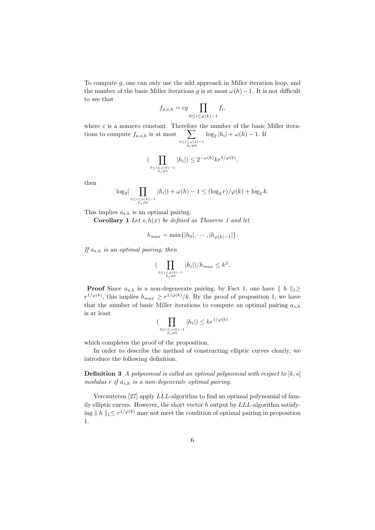To compute g, one can only use the add approach in Miller iteration loop, and the number of the basic Miller iterations g is at most  $\omega(h) - 1$ . It is not difficult to see that

$$
f_{a,s,h} = cg \prod_{0 \le i \le \varphi(k)-1} f_i,
$$

where  $c$  is a nonzero constant. Therefore the number of the basic Miller iterations to compute  $f_{a,s,h}$  is at most  $\sum$  $0 \leq i \leq \varphi(k) - 1$ <br> $h_i \neq 0$  $\log_2 |h_i| + \omega(h) - 1$ . If

$$
\big(\prod_{\substack{0\leq i\leq \varphi(k)-1\\ h_i\neq 0}} |h_i|\big)\leq 2^{-\omega(h)}kr^{1/\varphi(k)},
$$

then

$$
\log_2(\prod_{0 \le i \le \varphi(k)-1 \atop h_i \neq 0} |h_i|) + \omega(h) - 1 \le (\log_2 r) / \varphi(k) + \log_2 k.
$$

This implies  $a_{s,h}$  is an optimal pairing.

**Corollary 1** Let  $s, h(x)$  be defined as Theorem 1 and let

$$
h_{max} = \max\{|h_0|, \cdots, |h_{\varphi(k)-1}|\}.
$$

If  $a_{s,h}$  is an optimal pairing, then

$$
\big(\prod_{\substack{0 \le i \le \varphi(k)-1 \\ h_i \neq 0}} |h_i| \big) / h_{max} \le k^2.
$$

**Proof** Since  $a_{s,h}$  is a non-degenerate pairing, by Fact 1, one have  $||h||_1\ge$  $r^{1/\varphi(k)}$ , this implies  $h_{max} \geq r^{1/\varphi(k)}/k$ . By the proof of proposition 1, we have that the number of basic Miller iterations to compute an optimal pairing  $a_{s,h}$ is at least

$$
(\prod_{\substack{0 \le i \le \varphi(k)-1 \\ h_i \neq 0}} |h_i|) \le kr^{1/\varphi(k)}
$$

which completes the proof of the proposition.

In order to describe the method of constructing elliptic curves clearly, we introduce the following definition.

**Definition 3** A polynomial is called an optimal polynomial with respect to  $[k, s]$ modulus r if  $a_{s,h}$  is a non-degenerate optimal pairing.

Vercauteren [27] apply LLL-algorithm to find an optimal polynomial of family elliptic curves. However, the short vector h output by LLL-algorithm satisfying  $||h||_1 \leq r^{1/\varphi(k)}$  may not meet the condition of optimal pairing in proposition 1.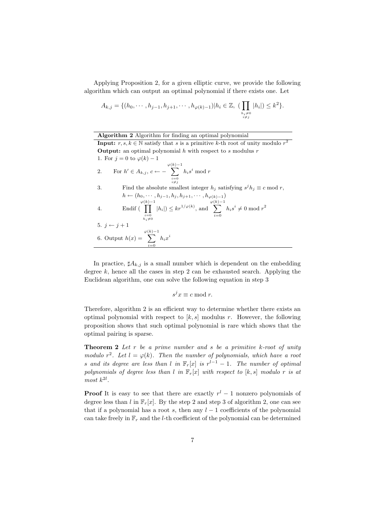Applying Proposition 2, for a given elliptic curve, we provide the following algorithm which can output an optimal polynomial if there exists one. Let

$$
A_{k,j} = \{ (h_0, \cdots, h_{j-1}, h_{j+1}, \cdots, h_{\varphi(k)-1}) | h_i \in \mathbb{Z}, \; (\prod_{\substack{h_i \neq 0 \\ i \neq j}} |h_i|) \leq k^2 \}.
$$

Algorithm 2 Algorithm for finding an optimal polynomial

**Input:**  $r, s, k \in \mathbb{N}$  satisfy that s is a primitive k-th root of unity modulo  $r^2$ **Output:** an optimal polynomial h with respect to s modulus  $r$ 1. For  $j = 0$  to  $\varphi(k) - 1$ 2. For  $h' \in A_{k,j}, c \leftarrow -1$  $\sum_{k=1}^{\varphi(k)-1}$  $i=0$  $i \neq j$  $h_i s^i \bmod r$ 3. Find the absolute smallest integer  $h_j$  satisfying  $s^j h_j \equiv c \mod r$ ,  $h \leftarrow (h_0, \cdots, h_{j-1}, h_j, h_{j+1}, \cdots, h_{\varphi(k)-1})$ 4. Endif (  $\mathcal{L}^{(k)-1}$  $\displaystyle{{i=0} \atop {h_i \neq 0}}$  $|h_i|$ )  $\leq kr^{1/\varphi(k)}$ , and  $\sum_{k=1}^{\varphi(k)-1}$  $i=0$  $h_i s^i \neq 0 \bmod r^2$ 5.  $j \leftarrow j + 1$ 6. Output  $h(x) =$  $\sum_{k=1}^{\varphi(k)-1}$  $i=0$  $h_ix^i$ 

In practice,  $sharp A_{k,j}$  is a small number which is dependent on the embedding degree  $k$ , hence all the cases in step 2 can be exhausted search. Applying the Euclidean algorithm, one can solve the following equation in step 3

$$
s^j x \equiv c \bmod r.
$$

Therefore, algorithm 2 is an efficient way to determine whether there exists an optimal polynomial with respect to  $[k, s]$  modulus r. However, the following proposition shows that such optimal polynomial is rare which shows that the optimal pairing is sparse.

**Theorem 2** Let  $r$  be a prime number and  $s$  be a primitive  $k$ -root of unity modulo  $r^2$ . Let  $l = \varphi(k)$ . Then the number of polynomials, which have a root s and its degree are less than l in  $\mathbb{F}_r[x]$  is  $r^{l-1} - 1$ . The number of optimal polynomials of degree less than l in  $\mathbb{F}_r[x]$  with respect to [k, s] modulo r is at most  $k^{2l}$ .

**Proof** It is easy to see that there are exactly  $r^{l} - 1$  nonzero polynomials of degree less than l in  $\mathbb{F}_r[x]$ . By the step 2 and step 3 of algorithm 2, one can see that if a polynomial has a root s, then any  $l-1$  coefficients of the polynomial can take freely in  $\mathbb{F}_r$  and the *l*-th coefficient of the polynomial can be determined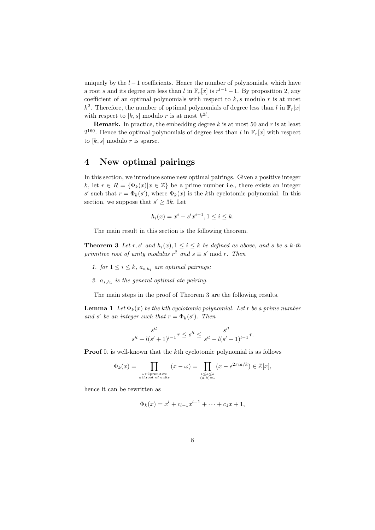uniquely by the  $l-1$  coefficients. Hence the number of polynomials, which have a root s and its degree are less than l in  $\mathbb{F}_r[x]$  is  $r^{l-1} - 1$ . By proposition 2, any coefficient of an optimal polynomials with respect to  $k, s$  modulo  $r$  is at most  $k^2$ . Therefore, the number of optimal polynomials of degree less than l in  $\mathbb{F}_r[x]$ with respect to  $[k, s]$  modulo r is at most  $k^{2l}$ .

**Remark.** In practice, the embedding degree k is at most 50 and r is at least  $2^{160}$ . Hence the optimal polynomials of degree less than l in  $\mathbb{F}_r[x]$  with respect to  $[k, s]$  modulo r is sparse.

# 4 New optimal pairings

In this section, we introduce some new optimal pairings. Given a positive integer k, let  $r \in R = {\Phi_k(x)|x \in \mathbb{Z}}$  be a prime number i.e., there exists an integer s' such that  $r = \Phi_k(s')$ , where  $\Phi_k(x)$  is the kth cyclotomic polynomial. In this section, we suppose that  $s' \geq 3k$ . Let

$$
h_i(x) = x^i - s'x^{i-1}, 1 \le i \le k.
$$

The main result in this section is the following theorem.

**Theorem 3** Let r, s' and  $h_i(x)$ ,  $1 \leq i \leq k$  be defined as above, and s be a k-th primitive root of unity modulus  $r^2$  and  $s \equiv s' \mod r$ . Then

- 1. for  $1 \leq i \leq k$ ,  $a_{s,h_i}$  are optimal pairings;
- 2.  $a_{s,h_1}$  is the general optimal ate pairing.

The main steps in the proof of Theorem 3 are the following results.

**Lemma 1** Let  $\Phi_k(x)$  be the kth cyclotomic polynomial. Let r be a prime number and s' be an integer such that  $r = \Phi_k(s')$ . Then

$$
\frac{s'^{l}}{s'^{l} + l(s'+1)^{l-1}}r \le s'^{l} \le \frac{s'^{l}}{s'^{l} - l(s'+1)^{l-1}}r.
$$

Proof It is well-known that the kth cyclotomic polynomial is as follows

$$
\Phi_k(x) = \prod_{\substack{\omega \in \mathbb{C}\text{primitive} \\ \text{nthroot of unity}}} (x - \omega) = \prod_{\substack{1 \le a \le k \\ (a,k) = 1}} (x - e^{2\pi i a/k}) \in \mathbb{Z}[x],
$$

hence it can be rewritten as

$$
\Phi_k(x) = x^l + c_{l-1}x^{l-1} + \dots + c_1x + 1,
$$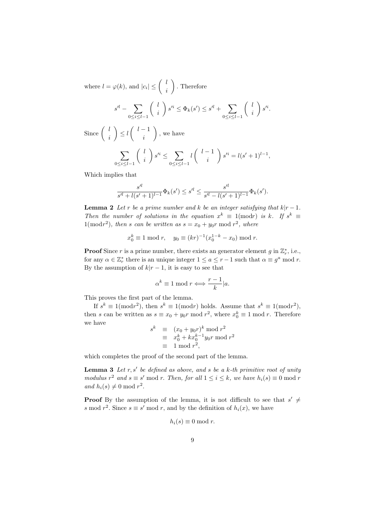where  $l = \varphi(k)$ , and  $|c_i| \leq \left(\begin{array}{c} l \\ l \end{array}\right)$ i . Therefore

$$
s^{l} - \sum_{0 \le i \le l-1} \left( \begin{array}{c} l \\ i \end{array} \right) s^{l} \le \Phi_k(s') \le s^{l} + \sum_{0 \le i \le l-1} \left( \begin{array}{c} l \\ i \end{array} \right) s^{l}.
$$

Since  $\begin{pmatrix} l \\ l \end{pmatrix}$ i  $\Big) \leq l \left( \begin{array}{c} l-1 \\ l \end{array} \right)$ i , we have

$$
\sum_{0 \le i \le l-1} \binom{l}{i} s'^i \le \sum_{0 \le i \le l-1} l \binom{l-1}{i} s'^i = l(s'+1)^{l-1},
$$

Which implies that

$$
\frac{s'^l}{s'^l+l(s'+1)^{l-1}}\Phi_k(s') \le s'^l \le \frac{s'^l}{s'^l-l(s'+1)^{l-1}}\Phi_k(s').
$$

**Lemma 2** Let r be a prime number and k be an integer satisfying that  $k|r-1$ . Then the number of solutions in the equation  $x^k \equiv 1 \pmod{r}$  is k. If  $s^k \equiv$  $1(\bmod r^2)$ , then s can be written as  $s = x_0 + y_0r \bmod r^2$ , where

$$
x_0^k \equiv 1 \mod r
$$
,  $y_0 \equiv (kr)^{-1}(x_0^{1-k} - x_0) \mod r$ .

**Proof** Since r is a prime number, there exists an generator element g in  $\mathbb{Z}_r^*$ , i.e., for any  $\alpha \in \mathbb{Z}_r^*$  there is an unique integer  $1 \le a \le r-1$  such that  $\alpha \equiv g^a \mod r$ . By the assumption of  $k|r-1$ , it is easy to see that

$$
\alpha^k \equiv 1 \bmod r \Longleftrightarrow \frac{r-1}{k} | a.
$$

This proves the first part of the lemma.

If  $s^k \equiv 1 \pmod{r^2}$ , then  $s^k \equiv 1 \pmod{r}$  holds. Assume that  $s^k \equiv 1 \pmod{r^2}$ , then s can be written as  $s \equiv x_0 + y_0 r \mod r^2$ , where  $x_0^k \equiv 1 \mod r$ . Therefore we have  $s^k$ 

$$
sk \equiv (x0 + y0r)k \mod r2
$$
  
\equiv x<sub>0</sub><sup>k</sup> + kx<sub>0</sub><sup>k-1</sup>y<sub>0</sub>r \mod r<sup>2</sup>  
\equiv 1 \mod r<sup>2</sup>,

which completes the proof of the second part of the lemma.

**Lemma 3** Let  $r, s'$  be defined as above, and s be a k-th primitive root of unity modulus  $r^2$  and  $s \equiv s' \mod r$ . Then, for all  $1 \le i \le k$ , we have  $h_i(s) \equiv 0 \mod r$ and  $h_i(s) \neq 0 \text{ mod } r^2$ .

**Proof** By the assumption of the lemma, it is not difficult to see that  $s' \neq$ s mod  $r^2$ . Since  $s \equiv s' \mod r$ , and by the definition of  $h_i(x)$ , we have

$$
h_i(s) \equiv 0 \bmod r.
$$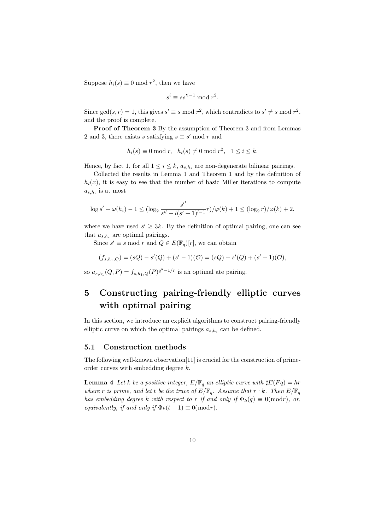Suppose  $h_i(s) \equiv 0 \mod r^2$ , then we have

$$
s^i \equiv ss'^{i-1} \bmod r^2.
$$

Since  $gcd(s, r) = 1$ , this gives  $s' \equiv s \mod r^2$ , which contradicts to  $s' \neq s \mod r^2$ , and the proof is complete.

Proof of Theorem 3 By the assumption of Theorem 3 and from Lemmas 2 and 3, there exists s satisfying  $s \equiv s' \mod r$  and

$$
h_i(s) \equiv 0 \bmod r, \quad h_i(s) \neq 0 \bmod r^2, \quad 1 \leq i \leq k.
$$

Hence, by fact 1, for all  $1 \leq i \leq k$ ,  $a_{s,h_i}$  are non-degenerate bilinear pairings.

Collected the results in Lemma 1 and Theorem 1 and by the definition of  $h_i(x)$ , it is easy to see that the number of basic Miller iterations to compute  $a_{s,h_i}$  is at most

$$
\log s' + \omega(h_i) - 1 \leq (\log_2 \frac{s'^l}{s'^l - l(s'+1)^{l-1}}r) / \varphi(k) + 1 \leq (\log_2 r) / \varphi(k) + 2,
$$

where we have used  $s' \geq 3k$ . By the definition of optimal pairing, one can see that  $a_{s,h_i}$  are optimal pairings.

Since  $s' \equiv s \mod r$  and  $Q \in E(\mathbb{F}_q)[r]$ , we can obtain

$$
(f_{s,h_1,Q}) = (sQ) - s'(Q) + (s'-1)(Q) = (sQ) - s'(Q) + (s'-1)(Q),
$$

so  $a_{s,h_1}(Q, P) = f_{s,h_1,Q}(P)^{q^k-1/r}$  is an optimal ate pairing.

# 5 Constructing pairing-friendly elliptic curves with optimal pairing

In this section, we introduce an explicit algorithms to construct pairing-friendly elliptic curve on which the optimal pairings  $a_{s,h_i}$  can be defined.

### 5.1 Construction methods

The following well-known observation[11] is crucial for the construction of primeorder curves with embedding degree k.

**Lemma 4** Let k be a positive integer,  $E/\mathbb{F}_q$  an elliptic curve with  $\sharp E(Fq) = hr$ where r is prime, and let t be the trace of  $E/\mathbb{F}_q$ . Assume that  $r \nmid k$ . Then  $E/\mathbb{F}_q$ has embedding degree k with respect to r if and only if  $\Phi_k(q) \equiv 0 \pmod{r}$ , or, equivalently, if and only if  $\Phi_k(t-1) \equiv 0 \pmod{r}$ .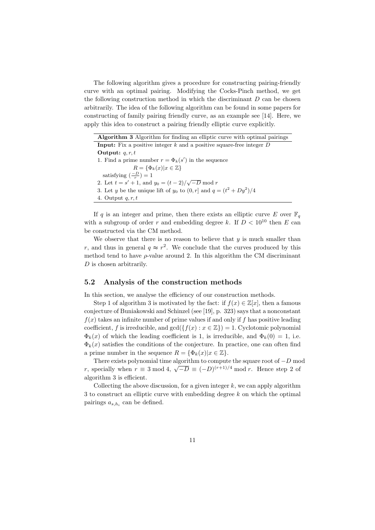The following algorithm gives a procedure for constructing pairing-friendly curve with an optimal pairing. Modifying the Cocks-Pinch method, we get the following construction method in which the discriminant  $D$  can be chosen arbitrarily. The idea of the following algorithm can be found in some papers for constructing of family pairing friendly curve, as an example see [14]. Here, we apply this idea to construct a pairing friendly elliptic curve explicitly.

| <b>Algorithm 3</b> Algorithm for finding an elliptic curve with optimal pairings |
|----------------------------------------------------------------------------------|
| <b>Input:</b> Fix a positive integer k and a positive square-free integer $D$    |
| Output: $q, r, t$                                                                |
| 1. Find a prime number $r = \Phi_k(s')$ in the sequence                          |
| $R = {\Phi_k(x) x \in \mathbb{Z}}$                                               |
| satisfying $\left(\frac{-D}{n}\right) = 1$                                       |
| 2. Let $t = s' + 1$ , and $y_0 = (t - 2)/\sqrt{-D}$ mod r                        |
| 3. Let y be the unique lift of $y_0$ to $(0, r]$ and $q = (t^2 + Dy^2)/4$        |
| 4. Output $q, r, t$                                                              |

If q is an integer and prime, then there exists an elliptic curve E over  $\mathbb{F}_q$ with a subgroup of order r and embedding degree k. If  $D < 10^{10}$  then E can be constructed via the CM method.

We observe that there is no reason to believe that  $y$  is much smaller than r, and thus in general  $q \approx r^2$ . We conclude that the curves produced by this method tend to have  $\rho$ -value around 2. In this algorithm the CM discriminant D is chosen arbitrarily.

#### 5.2 Analysis of the construction methods

In this section, we analyse the efficiency of our construction methods.

Step 1 of algorithm 3 is motivated by the fact: if  $f(x) \in \mathbb{Z}[x]$ , then a famous conjecture of Buniakowski and Schinzel (see [19], p. 323) says that a nonconstant  $f(x)$  takes an infinite number of prime values if and only if f has positive leading coefficient, f is irreducible, and  $gcd({f(x) : x \in \mathbb{Z}}) = 1$ . Cyclotomic polynomial  $\Phi_k(x)$  of which the leading coefficient is 1, is irreducible, and  $\Phi_k(0) = 1$ , i.e.  $\Phi_k(x)$  satisfies the conditions of the conjecture. In practice, one can often find a prime number in the sequence  $R = {\Phi_k(x)|x \in \mathbb{Z}}$ .

There exists polynomial time algorithm to compute the square root of  $-D$  mod r, specially when  $r \equiv 3 \mod 4$ ,  $\sqrt{-D} \equiv (-D)^{(r+1)/4} \mod r$ . Hence step 2 of algorithm 3 is efficient.

Collecting the above discussion, for a given integer  $k$ , we can apply algorithm 3 to construct an elliptic curve with embedding degree k on which the optimal pairings  $a_{s,h_i}$  can be defined.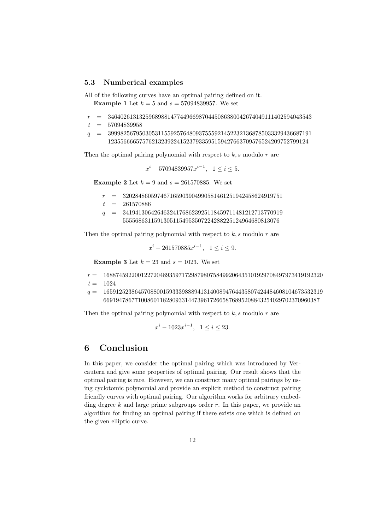#### 5.3 Numberical examples

All of the following curves have an optimal pairing defined on it. **Example 1** Let  $k = 5$  and  $s = 57094839957$ . We set

- $r = 34640261313259689881477449669870445086380042674049111402594043543$
- $t = 57094839958$
- $q = 39998256795030531155925764809375559214522321368785033329436687191$ 1235566665757621323922415237933595159427663709576524209752799124

Then the optimal pairing polynomial with respect to  $k$ , s modulo  $r$  are

$$
x^{i} - 57094839957x^{i-1}, \ \ 1 \leq i \leq 5.
$$

**Example 2** Let  $k = 9$  and  $s = 261570885$ . We set

- $r = 320284860597467165903904990581461251942458624919751$
- $t = 261570886$
- $q = 341941306426463241768623925118459711481212713770919$ 55556863115913051154953507224288225124964680813076

Then the optimal pairing polynomial with respect to  $k$ , s modulo  $r$  are

$$
x^{i} - 261570885x^{i-1}, \ \ 1 \leq i \leq 9.
$$

**Example 3** Let  $k = 23$  and  $s = 1023$ . We set

- $r = 1688745922001227204893597172987980758499206435101929708497973419192320$  $t = 1024$
- $q = 1659125238645708800159333988894131400894764435807424484608104673532319$ 669194786771008601182809331447396172665876895208843254029702370960387

Then the optimal pairing polynomial with respect to  $k$ , s modulo  $r$  are

$$
x^{i} - 1023x^{i-1}, \ \ 1 \leq i \leq 23.
$$

### 6 Conclusion

In this paper, we consider the optimal pairing which was introduced by Vercautern and give some properties of optimal pairing. Our result shows that the optimal pairing is rare. However, we can construct many optimal pairings by using cyclotomic polynomial and provide an explicit method to construct pairing friendly curves with optimal pairing. Our algorithm works for arbitrary embedding degree k and large prime subgroups order r. In this paper, we provide an algorithm for finding an optimal pairing if there exists one which is defined on the given elliptic curve.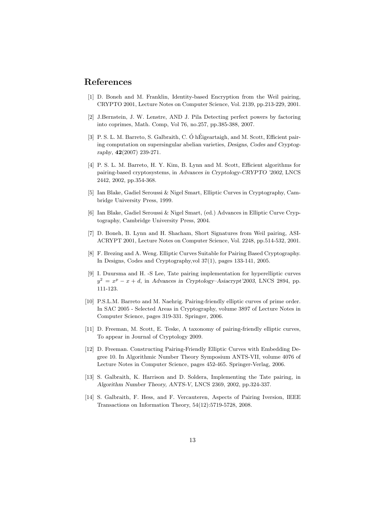### References

- [1] D. Boneh and M. Franklin, Identity-based Encryption from the Weil pairing, CRYPTO 2001, Lecture Notes on Computer Science, Vol. 2139, pp.213-229, 2001.
- [2] J.Bernstein, J. W. Lenstre, AND J. Pila Detecting perfect powers by factoring into coprimes, Math. Comp, Vol 76, no.257, pp.385-388, 2007.
- [3] P. S. L. M. Barreto, S. Galbraith, C. Ó hÉigeartaigh, and M. Scott, Efficient pairing computation on supersingular abelian varieties, Designs, Codes and Cryptography, 42(2007) 239-271.
- [4] P. S. L. M. Barreto, H. Y. Kim, B. Lynn and M. Scott, Efficient algorithms for pairing-based cryptosystems, in Advances in Cryptology-CRYPTO '2002, LNCS 2442, 2002, pp.354-368.
- [5] Ian Blake, Gadiel Seroussi & Nigel Smart, Elliptic Curves in Cryptography, Cambridge University Press, 1999.
- [6] Ian Blake, Gadiel Seroussi & Nigel Smart, (ed.) Advances in Elliptic Curve Cryptography, Cambridge University Press, 2004.
- [7] D. Boneh, B. Lynn and H. Shacham, Short Signatures from Weil pairing, ASI-ACRYPT 2001, Lecture Notes on Computer Science, Vol. 2248, pp.514-532, 2001.
- [8] F. Brezing and A. Weng. Elliptic Curves Suitable for Pairing Based Cryptography. In Designs, Codes and Cryptography,vol 37(1), pages 133-141, 2005.
- [9] I. Duursma and H. -S Lee, Tate pairing implementation for hyperelliptic curves  $y^2 = x^p - x + d$ , in Advances in Cryptology–Asiacrypt'2003, LNCS 2894, pp. 111-123.
- [10] P.S.L.M. Barreto and M. Naehrig. Pairing-friendly elliptic curves of prime order. In SAC 2005 - Selected Areas in Cryptography, volume 3897 of Lecture Notes in Computer Science, pages 319-331. Springer, 2006.
- [11] D. Freeman, M. Scott, E. Teske, A taxonomy of pairing-friendly elliptic curves, To appear in Journal of Cryptology 2009.
- [12] D. Freeman. Constructing Pairing-Friendly Elliptic Curves with Embedding Degree 10. In Algorithmic Number Theory Symposium ANTS-VII, volume 4076 of Lecture Notes in Computer Science, pages 452-465. Springer-Verlag, 2006.
- [13] S. Galbraith, K. Harrison and D. Soldera, Implementing the Tate pairing, in Algorithm Number Theory, ANTS-V, LNCS 2369, 2002, pp.324-337.
- [14] S. Galbraith, F. Hess, and F. Vercauteren, Aspects of Pairing Iversion, IEEE Transactions on Information Theory, 54(12):5719-5728, 2008.